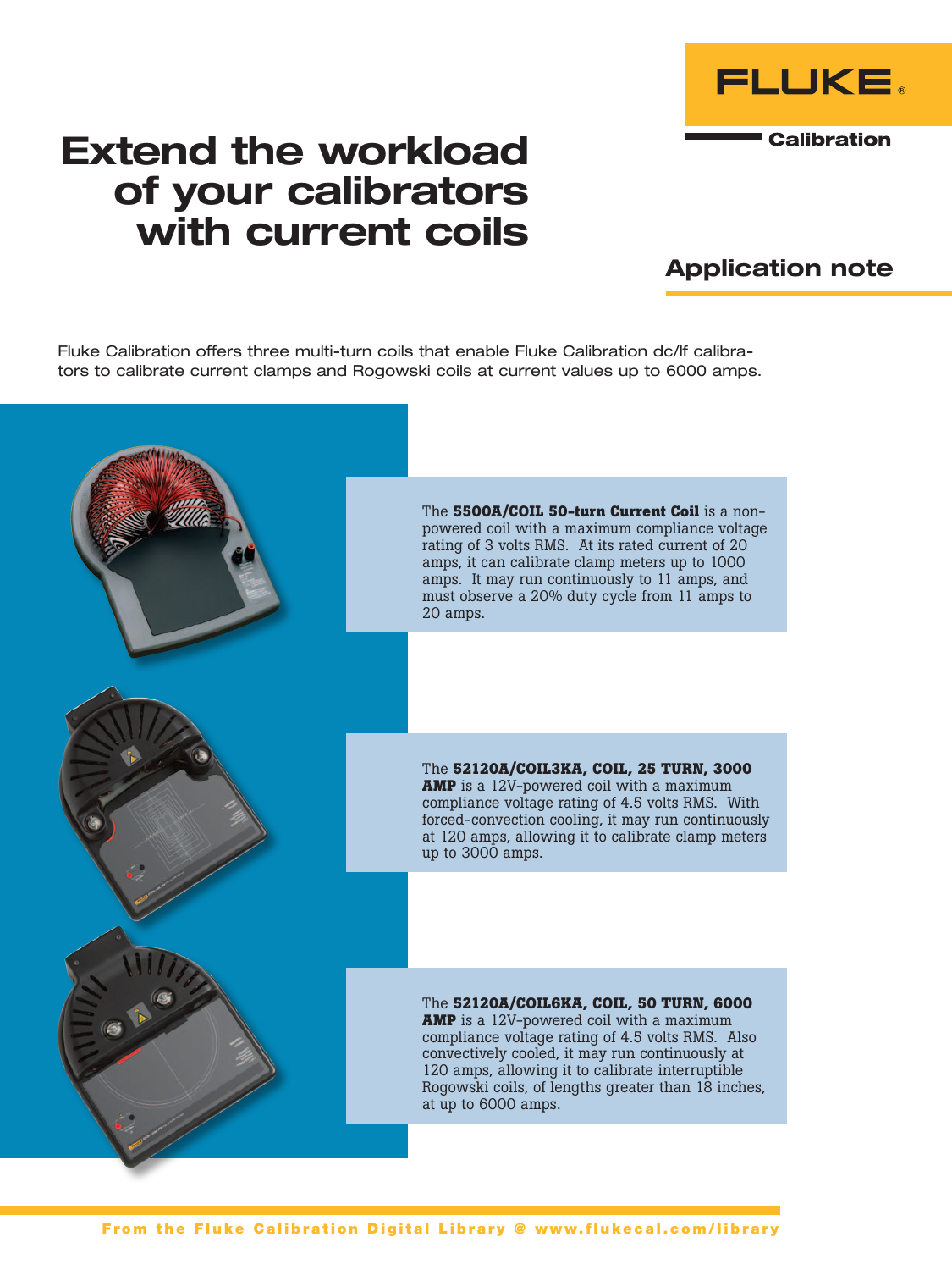

## Extend the workload of your calibrators with current coils

## Application note

Fluke Calibration offers three multi-turn coils that enable Fluke Calibration dc/lf calibrators to calibrate current clamps and Rogowski coils at current values up to 6000 amps.